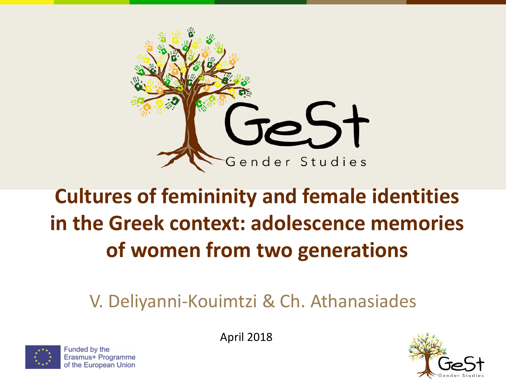

#### **Cultures of femininity and female identities in the Greek context: adolescence memories of women from two generations**

#### V. Deliyanni-Kouimtzi & Ch. Athanasiades



Funded by the Erasmus+ Programme of the European Union April 2018

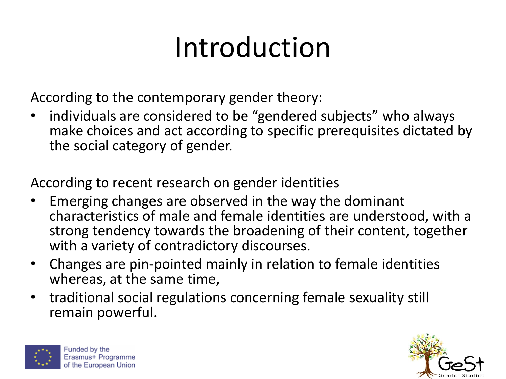## Introduction

According to the contemporary gender theory:

individuals are considered to be "gendered subjects" who always make choices and act according to specific prerequisites dictated by the social category of gender.

According to recent research on gender identities

- Emerging changes are observed in the way the dominant characteristics of male and female identities are understood, with a strong tendency towards the broadening of their content, together with a variety of contradictory discourses.
- Changes are pin-pointed mainly in relation to female identities whereas, at the same time,
- traditional social regulations concerning female sexuality still remain powerful.



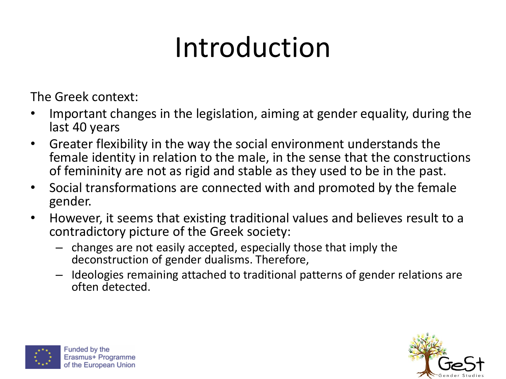## Introduction

The Greek context:

- Important changes in the legislation, aiming at gender equality, during the last 40 years
- Greater flexibility in the way the social environment understands the female identity in relation to the male, in the sense that the constructions of femininity are not as rigid and stable as they used to be in the past.
- Social transformations are connected with and promoted by the female gender.
- However, it seems that existing traditional values and believes result to a contradictory picture of the Greek society:
	- changes are not easily accepted, especially those that imply the deconstruction of gender dualisms. Therefore,
	- Ideologies remaining attached to traditional patterns of gender relations are often detected.



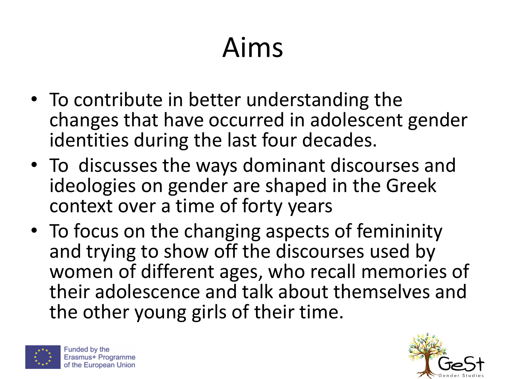## Aims

- To contribute in better understanding the changes that have occurred in adolescent gender identities during the last four decades.
- To discusses the ways dominant discourses and ideologies on gender are shaped in the Greek context over a time of forty years
- To focus on the changing aspects of femininity and trying to show off the discourses used by women of different ages, who recall memories of their adolescence and talk about themselves and the other young girls of their time.



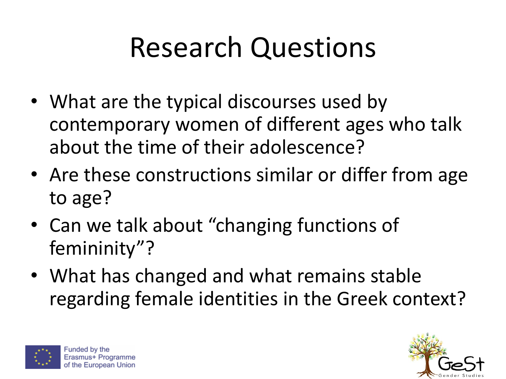## Research Questions

- What are the typical discourses used by contemporary women of different ages who talk about the time of their adolescence?
- Are these constructions similar or differ from age to age?
- Can we talk about "changing functions of femininity"?
- What has changed and what remains stable regarding female identities in the Greek context?



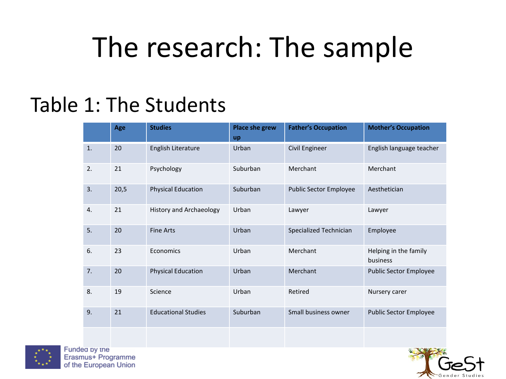### The research: The sample

#### Table 1: The Students

|    | Age  | <b>Studies</b>                 | Place she grew<br><b>up</b> | <b>Father's Occupation</b> | <b>Mother's Occupation</b>        |
|----|------|--------------------------------|-----------------------------|----------------------------|-----------------------------------|
| 1. | 20   | English Literature             | Urban                       | Civil Engineer             | English language teacher          |
| 2. | 21   | Psychology                     | Suburban                    | Merchant                   | Merchant                          |
| 3. | 20,5 | <b>Physical Education</b>      | Suburban                    | Public Sector Employee     | Aesthetician                      |
| 4. | 21   | <b>History and Archaeology</b> | Urban                       | Lawyer                     | Lawyer                            |
| 5. | 20   | <b>Fine Arts</b>               | Urban                       | Specialized Technician     | Employee                          |
| 6. | 23   | Economics                      | Urban                       | Merchant                   | Helping in the family<br>business |
| 7. | 20   | <b>Physical Education</b>      | Urban                       | Merchant                   | <b>Public Sector Employee</b>     |
| 8. | 19   | Science                        | Urban                       | Retired                    | Nursery carer                     |
| 9. | 21   | <b>Educational Studies</b>     | Suburban                    | Small business owner       | <b>Public Sector Employee</b>     |



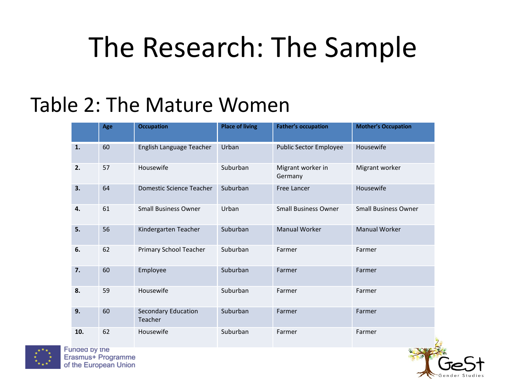### The Research: The Sample

#### Table 2: The Mature Women

|     | Age | <b>Occupation</b>                     | <b>Place of living</b> | <b>Father's occupation</b>   | <b>Mother's Occupation</b>  |
|-----|-----|---------------------------------------|------------------------|------------------------------|-----------------------------|
| 1.  | 60  | English Language Teacher              | Urban                  | Public Sector Employee       | Housewife                   |
| 2.  | 57  | Housewife                             | Suburban               | Migrant worker in<br>Germany | Migrant worker              |
| 3.  | 64  | <b>Domestic Science Teacher</b>       | Suburban               | Free Lancer                  | Housewife                   |
| 4.  | 61  | <b>Small Business Owner</b>           | Urban                  | <b>Small Business Owner</b>  | <b>Small Business Owner</b> |
| 5.  | 56  | Kindergarten Teacher                  | Suburban               | <b>Manual Worker</b>         | <b>Manual Worker</b>        |
| 6.  | 62  | Primary School Teacher                | Suburban               | Farmer                       | Farmer                      |
| 7.  | 60  | Employee                              | Suburban               | Farmer                       | Farmer                      |
| 8.  | 59  | Housewife                             | Suburban               | Farmer                       | Farmer                      |
| 9.  | 60  | <b>Secondary Education</b><br>Teacher | Suburban               | Farmer                       | Farmer                      |
| 10. | 62  | Housewife                             | Suburban               | Farmer                       | Farmer                      |



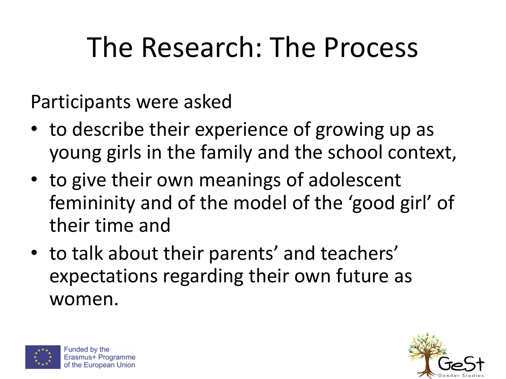## The Research: The Process

Participants were asked

- to describe their experience of growing up as young girls in the family and the school context,
- to give their own meanings of adolescent femininity and of the model of the 'good girl' of their time and
- to talk about their parents' and teachers' expectations regarding their own future as women.



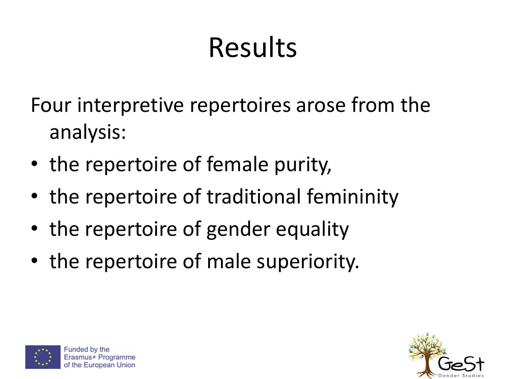## Results

Four interpretive repertoires arose from the analysis:

- the repertoire of female purity,
- the repertoire of traditional femininity
- the repertoire of gender equality
- the repertoire of male superiority.



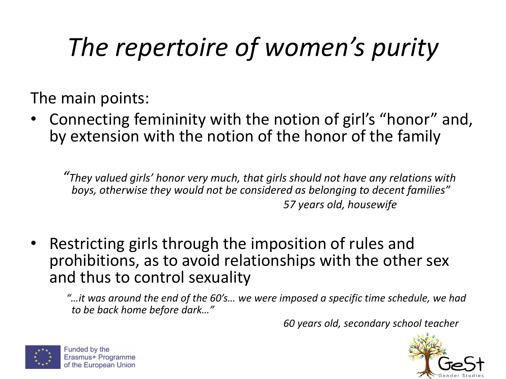### *The repertoire of women's purity*

The main points:

• Connecting femininity with the notion of girl's "honor" and, by extension with the notion of the honor of the family

*"They valued girls' honor very much, that girls should not have any relations with boys, otherwise they would not be considered as belonging to decent families" 57 years old, housewife*

• Restricting girls through the imposition of rules and prohibitions, as to avoid relationships with the other sex and thus to control sexuality

*"…it was around the end of the 60's… we were imposed a specific time schedule, we had to be back home before dark…"*

*60 years old, secondary school teacher*



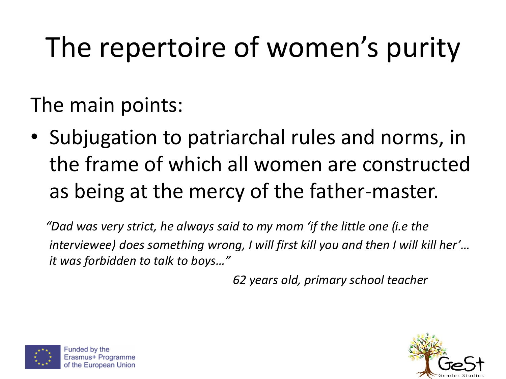## The repertoire of women's purity

The main points:

• Subjugation to patriarchal rules and norms, in the frame of which all women are constructed as being at the mercy of the father-master.

*"Dad was very strict, he always said to my mom 'if the little one (i.e the interviewee) does something wrong, I will first kill you and then I will kill her'… it was forbidden to talk to boys…"*

*62 years old, primary school teacher*



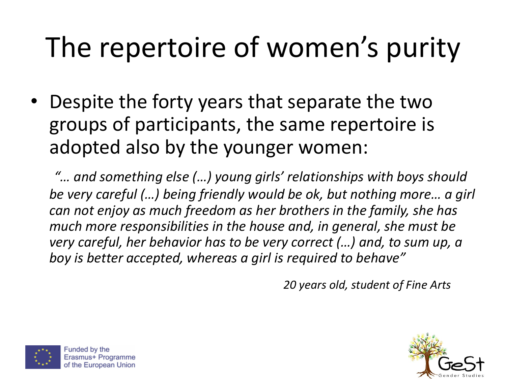## The repertoire of women's purity

• Despite the forty years that separate the two groups of participants, the same repertoire is adopted also by the younger women:

*"… and something else (…) young girls' relationships with boys should be very careful (…) being friendly would be ok, but nothing more… a girl can not enjoy as much freedom as her brothers in the family, she has much more responsibilities in the house and, in general, she must be very careful, her behavior has to be very correct (…) and, to sum up, a boy is better accepted, whereas a girl is required to behave"*

*20 years old, student of Fine Arts*



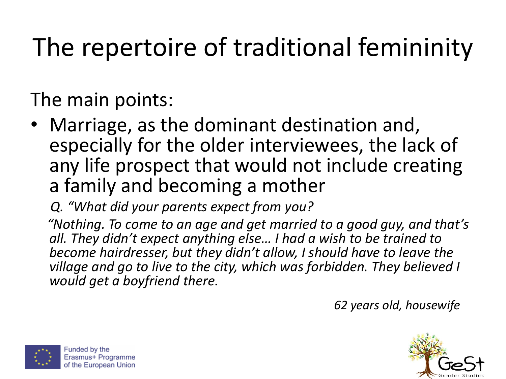The main points:

• Marriage, as the dominant destination and, especially for the older interviewees, the lack of any life prospect that would not include creating a family and becoming a mother

*Q. "What did your parents expect from you?*

*"Nothing. To come to an age and get married to a good guy, and that's all. They didn't expect anything else… I had a wish to be trained to become hairdresser, but they didn't allow, I should have to leave the village and go to live to the city, which was forbidden. They believed I would get a boyfriend there.*

*62 years old, housewife*



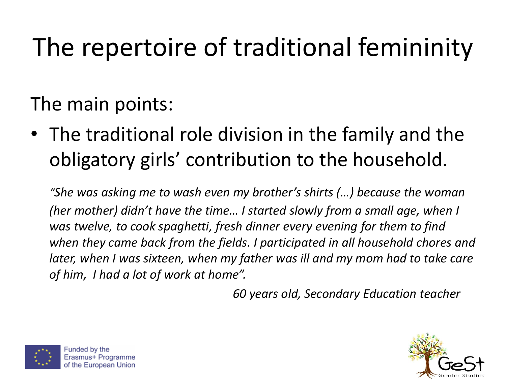The main points:

• The traditional role division in the family and the obligatory girls' contribution to the household.

*"She was asking me to wash even my brother's shirts (…) because the woman (her mother) didn't have the time... I started slowly from a small age, when I was twelve, to cook spaghetti, fresh dinner every evening for them to find when they came back from the fields. I participated in all household chores and*  later, when I was sixteen, when my father was ill and my mom had to take care *of him, I had a lot of work at home".*

*60 years old, Secondary Education teacher*



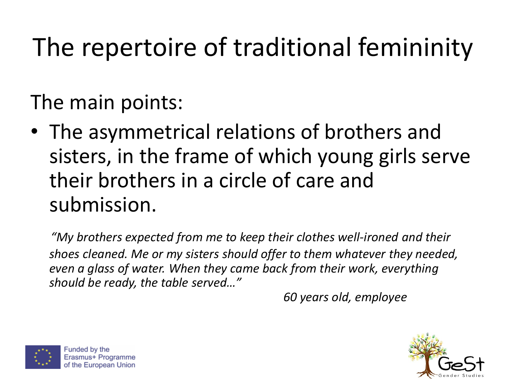The main points:

• The asymmetrical relations of brothers and sisters, in the frame of which young girls serve their brothers in a circle of care and submission.

*"My brothers expected from me to keep their clothes well-ironed and their shoes cleaned. Me or my sisters should offer to them whatever they needed, even a glass of water. When they came back from their work, everything should be ready, the table served…"*

*60 years old, employee*



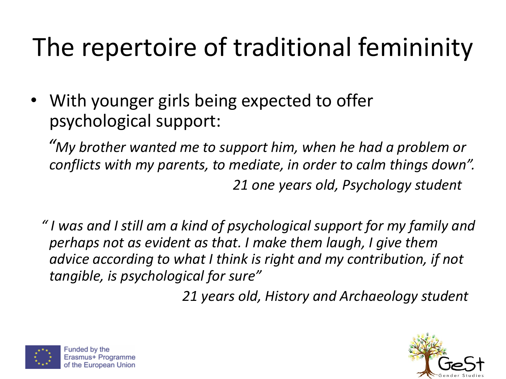• With younger girls being expected to offer psychological support:

*"My brother wanted me to support him, when he had a problem or conflicts with my parents, to mediate, in order to calm things down". 21 one years old, Psychology student*

*" I was and I still am a kind of psychological support for my family and perhaps not as evident as that. I make them laugh, I give them advice according to what I think is right and my contribution, if not tangible, is psychological for sure"*

*21 years old, History and Archaeology student*



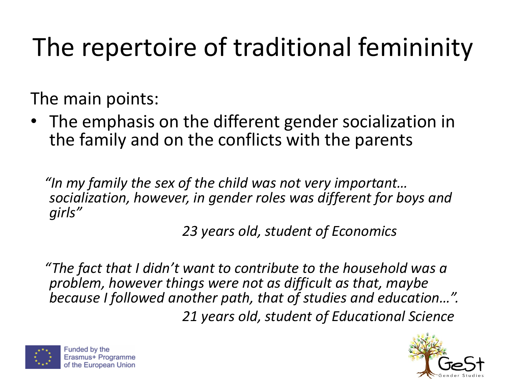The main points:

• The emphasis on the different gender socialization in the family and on the conflicts with the parents

*"In my family the sex of the child was not very important… socialization, however, in gender roles was different for boys and girls"*

*23 years old, student of Economics*

*"The fact that I didn't want to contribute to the household was a problem, however things were not as difficult as that, maybe because I followed another path, that of studies and education…". 21 years old, student of Educational Science* 



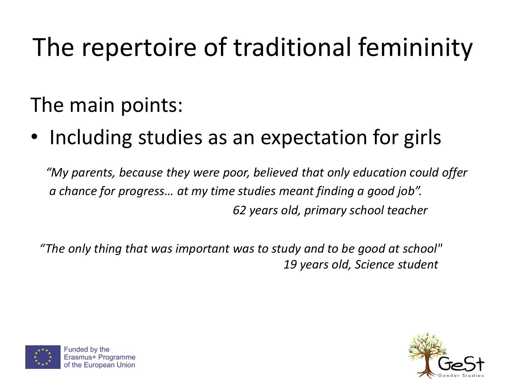#### The main points:

• Including studies as an expectation for girls

*"My parents, because they were poor, believed that only education could offer a chance for progress… at my time studies meant finding a good job". 62 years old, primary school teacher*

*"The only thing that was important was to study and to be good at school" 19 years old, Science student*



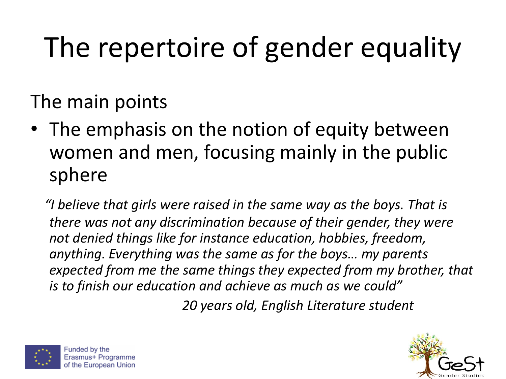# The repertoire of gender equality

The main points

• The emphasis on the notion of equity between women and men, focusing mainly in the public sphere

*"I believe that girls were raised in the same way as the boys. That is there was not any discrimination because of their gender, they were not denied things like for instance education, hobbies, freedom, anything. Everything was the same as for the boys… my parents expected from me the same things they expected from my brother, that is to finish our education and achieve as much as we could"*

*20 years old, English Literature student*



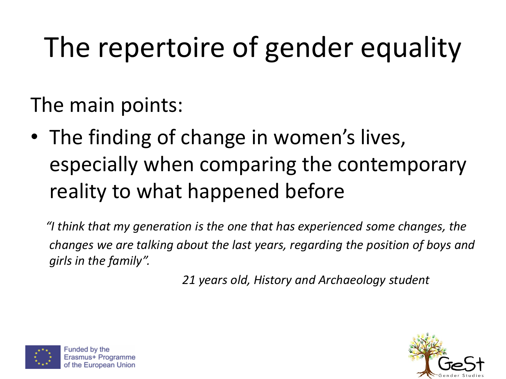## The repertoire of gender equality

The main points:

• The finding of change in women's lives, especially when comparing the contemporary reality to what happened before

*"I think that my generation is the one that has experienced some changes, the changes we are talking about the last years, regarding the position of boys and girls in the family".*

*21 years old, History and Archaeology student*



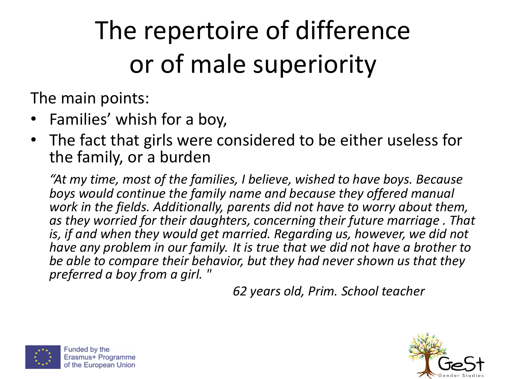## The repertoire of difference or of male superiority

The main points:

- Families' whish for a boy,
- The fact that girls were considered to be either useless for the family, or a burden

*"At my time, most of the families, I believe, wished to have boys. Because boys would continue the family name and because they offered manual work in the fields. Additionally, parents did not have to worry about them, as they worried for their daughters, concerning their future marriage . That is, if and when they would get married. Regarding us, however, we did not have any problem in our family. It is true that we did not have a brother to be able to compare their behavior, but they had never shown us that they preferred a boy from a girl. "*

*62 years old, Prim. School teacher*



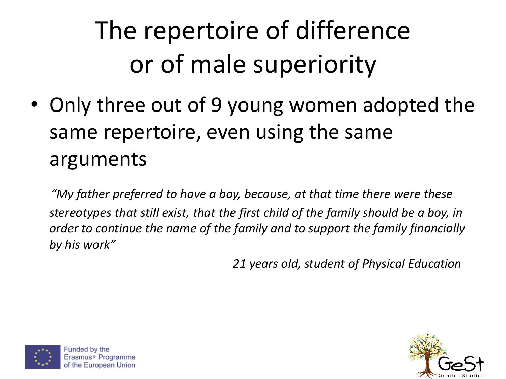## The repertoire of difference or of male superiority

• Only three out of 9 young women adopted the same repertoire, even using the same arguments

*"My father preferred to have a boy, because, at that time there were these stereotypes that still exist, that the first child of the family should be a boy, in order to continue the name of the family and to support the family financially by his work"*

*21 years old, student of Physical Education*



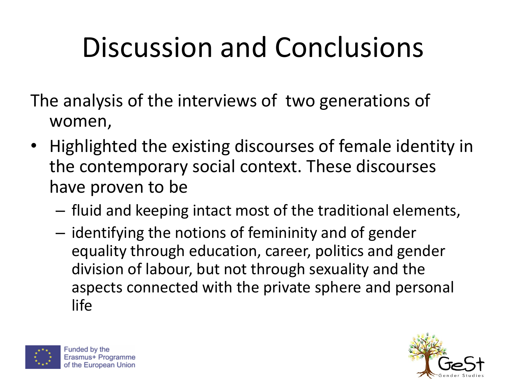The analysis of the interviews of two generations of women,

- Highlighted the existing discourses of female identity in the contemporary social context. These discourses have proven to be
	- fluid and keeping intact most of the traditional elements,
	- identifying the notions of femininity and of gender equality through education, career, politics and gender division of labour, but not through sexuality and the aspects connected with the private sphere and personal life



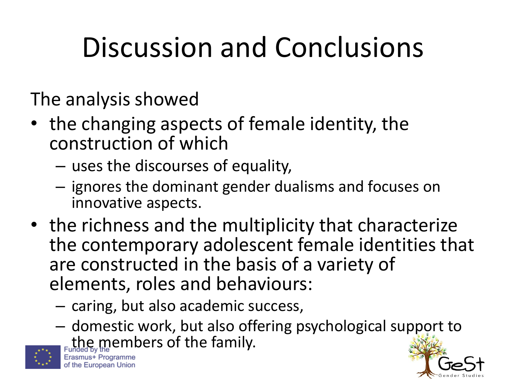The analysis showed

- the changing aspects of female identity, the construction of which
	- uses the discourses of equality,
	- ignores the dominant gender dualisms and focuses on innovative aspects.
- the richness and the multiplicity that characterize the contemporary adolescent female identities that are constructed in the basis of a variety of elements, roles and behaviours:
	- caring, but also academic success,
	- domestic work, but also offering psychological support to the members of the family.



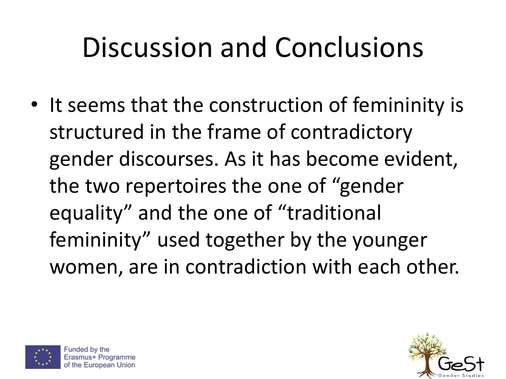• It seems that the construction of femininity is structured in the frame of contradictory gender discourses. As it has become evident, the two repertoires the one of "gender equality" and the one of "traditional femininity" used together by the younger women, are in contradiction with each other.